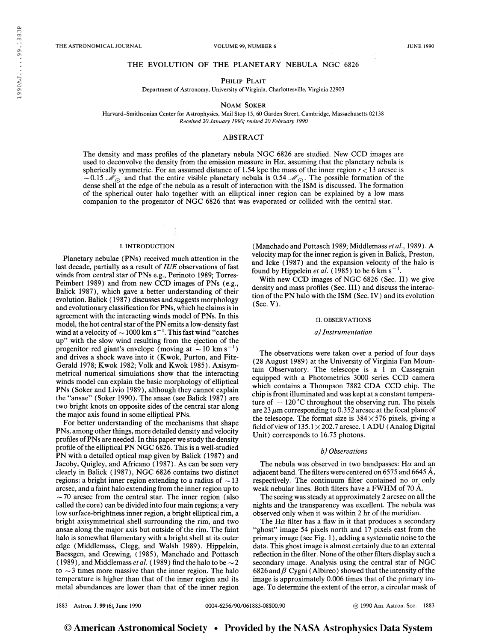## THE EVOLUTION OF THE PLANETARY NEBULA NGC 6826

# PHILIP PLAIT

Department of Astronomy, University of Virginia, Charlottesville, Virginia 22903

Noam Soker

Harvard-Smithsonian Center for Astrophysics, Mail Stop 15, 60 Garden Street, Cambridge, Massachusetts 02138 Received 20 January 1990; revised 20 February 1990

# ABSTRACT

The density and mass profiles of the planetary nebula NGC 6826 are studied. New CCD images are used to deconvolve the density from the emission measure in  $H\alpha$ , assuming that the planetary nebula is spherically symmetric. For an assumed distance of 1.54 kpc the mass of the inner region  $r < 13$  arcsec is  $-0.15$  M<sub>O</sub> and that the entire visible planetary nebula is 0.54 M<sub>O</sub>. The possible formation of the dense shell at the edge of the nebula as a result of interaction with the ISM is discussed. The formation of the spherical outer halo together with an elliptical inner region can be explained by a low mass companion to the progenitor of NGC 6826 that was evaporated or collided with the central star.

## I. INTRODUCTION

Planetary nebulae (PNs) received much attention in the last decade, partially as a result of  $IUE$  observations of fast winds from central star of PNs e.g., Perinoto 1989; Torres-Peimbert 1989) and from new CCD images of PNs (e.g., Balick 1987), which gave a better understanding of their evolution. Balick (1987) discusses and suggests morphology and evolutionary classification for PNs, which he claimsis in agreement with the interacting winds model of PNs. In this model, the hot central star of the PN emits a low-density fast wind at a velocity of  $\sim$  1000 km s<sup>-1</sup>. This fast wind "catches" up" with the slow wind resulting from the ejection of the progenitor red giant's envelope (moving at  $\sim$  10 km s<sup>-1</sup>) and drives a shock wave into it (Kwok, Purton, and Fitz-Gerald 1978; Kwok 1982; Volk and Kwok 1985). Axisymmetrical numerical simulations show that the interacting winds model can explain the basic morphology of elliptical PNs (Soker and Livio 1989), although they cannot explain the "ansae" (Soker 1990). The ansae (see Balick 1987) are two bright knots on opposite sides of the central star along the major axis found in some elliptical PNs.

For better understanding of the mechanisms that shape PNs, among other things, more detailed density and velocity profiles ofPNs are needed. In this paper we study the density profile of the elliptical PN NGC 6826. This is a well-studied PN with a detailed optical map given by Balick ( 1987) and Jacoby, Quigley, and Africano ( 1987). As can be seen very clearly in Balick (1987), NGC 6826 contains two distinct regions: a bright inner region extending to a radius of  $\sim$  13 arcsec, and a faint halo extending from the inner region up to  $\sim$  70 arcsec from the central star. The inner region (also called the core) can be divided into four main regions; a very low surface-brightness inner region, a bright elliptical rim, a bright axisymmetrical shell surrounding the rim, and two ansae along the major axis but outside of the rim. The faint halo is somewhat filamentary with a bright shell at its outer edge (Middlemass, Clegg, and Walsh 1989). Hippelein, Baessgen, and Grewing, (1985), Manchado and Pottasch (1989), and Middlemass *et al.* (1989) find the halo to be  $\sim$  2 to  $\sim$  3 times more massive than the inner region. The halo temperature is higher than that of the inner region and its metal abundances are lower than that of the inner region

(Manchado and Pottasch 1989; Middlemass et al., 1989). A velocity map for the inner region is given in Balick, Preston, and Icke (1987) and the expansion velocity of the halo is and Icke (1987) and the expansion velocity of found by Hippelein *et al.* (1985) to be 6 km s<sup>-1</sup>.

With new CCD images of NGC 6826 (Sec. II) we give density and mass profiles (Sec. Ill) and discuss the interaction of the PN halo with the ISM (Sec. IV) and its evolution (Sec. V).

### II. OBSERVATIONS

#### a) Instrumentation

The observations were taken over a period of four days (28 August 1989) at the University of Virginia Fan Mountain Observatory. The telescope is a <sup>1</sup> m Cassegrain equipped with a Photometries 3000 series CCD camera which contains a Thompson 7882 CDA CCD chip. The chip is frontilluminated and was kept at a constant temperature of  $-120$  °C throughout the observing run. The pixels are 23  $\mu$ m corresponding to 0.352 arcsec at the focal plane of the telescope. The format size is  $384 \times 576$  pixels, giving a field of view of  $135.1\times 202.7$  arcsec. 1 ADU (Analog Digital Unit) corresponds to 16.75 photons.

## b) Observations

The nebula was observed in two bandpasses: H $\alpha$  and an adjacent band. The filters were centered on 6575 and 6645 A, respectively. The continuum filter contained no or only weak nebular lines. Both filters have a FWHM of 70 A.

The seeing was steady at approximately 2 arcsec on all the nights and the transparency was excellent. The nebula was observed only when it was within 2 hr of the meridian.

The H $\alpha$  filter has a flaw in it that produces a secondary "ghost" image 54 pixels north and 17 pixels east from the primary image (see Fig. <sup>1</sup> ), adding a systematic noise to the data. This ghost image is almost certainly due to an external reflection in the filter. None of the other filters display such a secondary image. Analysis using the central star of NGC 6826 and  $\beta$  Cygni (Albireo) showed that the intensity of the image is approximately 0.006 times that of the primary image. To determine the extent of the error, a circular mask of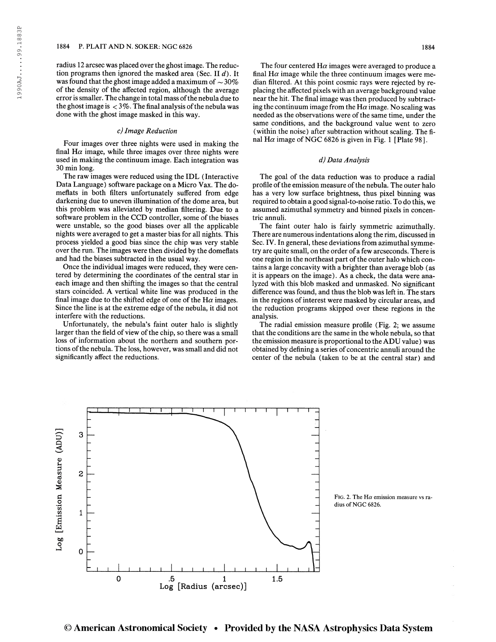radius 12 arcsec was placed overthe ghostimage. The reduction programs then ignored the masked area (Sec. II  $d$ ). It was found that the ghost image added a maximum of  $\sim$  30% of the density of the affected region, although the average error is smaller. The change in total mass of the nebula due to the ghost image is  $\langle 3\% \rangle$ . The final analysis of the nebula was done with the ghost image masked in this way.

## c) Image Reduction

Four images over three nights were used in making the final H $\alpha$  image, while three images over three nights were used in making the continuum image. Each integration was 30 min long.

The raw images were reduced using the IDL (Interactive Data Language) software package on a Micro Vax. The domeflats in both filters unfortunately suffered from edge darkening due to uneven illumination of the dome area, but this problem was alleviated by median filtering. Due to a software problem in the CCD controller, some of the biases were unstable, so the good biases over all the applicable nights were averaged to get a master bias for all nights. This process yielded a good bias since the chip was very stable over the run. The images were then divided by the domeflats and had the biases subtracted in the usual way.

Once the individual images were reduced, they were centered by determining the coordinates of the central star in each image and then shifting the images so that the central stars coincided. A vertical white line was produced in the final image due to the shifted edge of one of the H $\alpha$  images. Since the line is at the extreme edge of the nebula, it did not interfere with the reductions.

Unfortunately, the nebula's faint outer halo is slightly larger than the field of view of the chip, so there was a small loss of information about the northern and southern portions of the nebula. The loss, however, was small and did not significantly affect the reductions.

The four centered  $H\alpha$  images were averaged to produce a final  $H\alpha$  image while the three continuum images were median filtered. At this point cosmic rays were rejected by replacing the affected pixels with an average background value near the hit. The final image was then produced by subtracting the continuum image from the H $\alpha$  image. No scaling was needed as the observations were of the same time, under the same conditions, and the background value went to zero (within the noise) after subtraction without scaling. The final H $\alpha$  image of NGC 6826 is given in Fig. 1 [Plate 98].

# d) Data Analysis

The goal of the data reduction was to produce a radial profile of the emission measure of the nebula. The outer halo has a very low surface brightness, thus pixel binning was required to obtain a good signal-to-noise ratio. To do this, we assumed azimuthal symmetry and binned pixels in concentric annuli.

The faint outer halo is fairly symmetric azimuthally. There are numerous indentations along the rim, discussed in Sec. IV. In general, these deviations from azimuthal symmetry are quite small, on the order of a few arcseconds. There is one region in the northeast part of the outer halo which contains a large concavity with a brighter than average blob (as it is appears on the image). As a check, the data were analyzed with this blob masked and unmasked. No significant difference was found, and thus the blob was left in. The stars in the regions of interest were masked by circular areas, and the reduction programs skipped over these regions in the analysis.

The radial emission measure profile (Fig. 2; we assume that the conditions are the same in the whole nebula, so that the emission measure is proportional to the ADU value) was obtained by defining a series of concentric annuli around the center of the nebula (taken to be at the central star) and



FIG. 2. The H $\alpha$  emission measure vs radius of NGC 6826.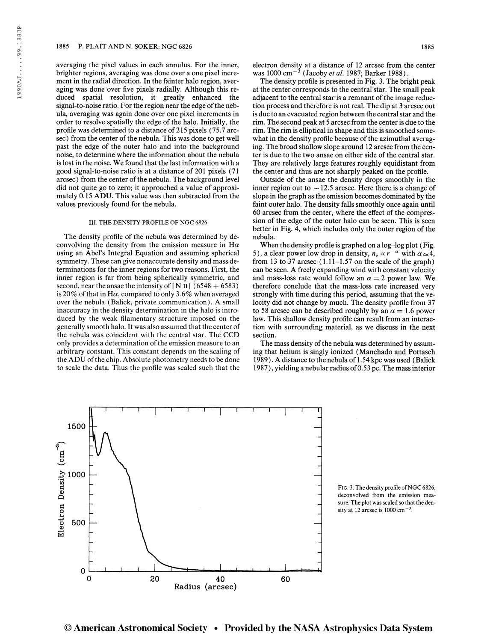## 1885 P. PLAIT AND N. SOKER: NGC 6826 1885

averaging the pixel values in each annulus. For the inner, brighter regions, averaging was done over a one pixel increment in the radial direction. In the fainter halo region, averaging was done over five pixels radially. Although this reduced spatial resolution, it greatly enhanced the signal-to-noise ratio. For the region near the edge of the nebula, averaging was again done over one pixel increments in order to resolve spatially the edge of the halo. Initially, the profile was determined to a distance of 215 pixels (75.7 arcsec) from the center of the nebula. This was done to get well past the edge of the outer halo and into the background noise, to determine where the information about the nebula is lost in the noise. We found that the last information with a good signal-to-noise ratio is at a distance of 201 pixels (71 arcsec) from the center of the nebula. The background level did not quite go to zero; it approached a value of approximately 0.15 ADU. This value was then subtracted from the values previously found for the nebula.

# III. THE DENSITY PROFILE OF NGC 6826

The density profile of the nebula was determined by deconvolving the density from the emission measure in  $H\alpha$ using an Abel's Integral Equation and assuming spherical symmetry. These can give nonaccurate density and mass determinations for the inner regions for two reasons. First, the inner region is far from being spherically symmetric, and second, near the ansae the intensity of [N  $\text{II}$ ] (6548 + 6583) is 20% of that in H $\alpha$ , compared to only 3.6% when averaged over the nebula (Balick, private communication). A small inaccuracy in the density determination in the halo is introduced by the weak filamentary structure imposed on the generally smooth halo. It was also assumed that the center of the nebula was coincident with the central star. The CCD only provides a determination of the emission measure to an arbitrary constant. This constant depends on the scaling of the ADU of the chip. Absolute photometry needs to be done to scale the data. Thus the profile was scaled such that the electron density at a distance of 12 arcsec from the center electron density at a distance of 12 arcsec from tl<br>was 1000 cm<sup>-3</sup> (Jacoby *et al.* 1987; Barker 1988).

The density profile is presented in Fig. 3. The bright peak at the center corresponds to the central star. The small peak adjacent to the central star is a remnant of the image reduction process and therefore is not real. The dip at 3 arcsec out is due to an evacuated region between the central star and the rim. The second peak at 5 arcsec from the center is due to the rim. The rim is elliptical in shape and this is smoothed somewhat in the density profile because of the azimuthal averaging. The broad shallow slope around 12 arcsec from the center is due to the two ansae on either side of the central star. They are relatively large features roughly equidistant from the center and thus are not sharply peaked on the profile.

Outside of the ansae the density drops smoothly in the inner region out to  $\sim$  12.5 arcsec. Here there is a change of slope in the graph as the emission becomes dominated by the faint outer halo. The density falls smoothly once again until 60 arcsec from the center, where the effect of the compression of the edge of the outer halo can be seen. This is seen better in Fig. 4, which includes only the outer region of the nebula.

When the density profile is graphed on a log-log plot ( Fig. when the density profile is graphed on a log-log plot (Fig. 5), a clear power low drop in density,  $n_e \propto r^{-\alpha}$  with  $\alpha \approx 4$ , from 13 to 37 arcsec  $(1.11-1.57)$  on the scale of the graph) can be seen. A freely expanding wind with constant velocity and mass-loss rate would follow an  $\alpha = 2$  power law. We therefore conclude that the mass-loss rate increased very strongly with time during this period, assuming that the velocity did not change by much. The density profile from 37 to 58 arcsec can be described roughly by an  $\alpha = 1.6$  power law. This shallow density profile can result from an interaction with surrounding material, as we discuss in the next section.

The mass density of the nebula was determined by assuming that helium is singly ionized (Manchado and Pottasch 1989 ). A distance to the nebula of 1.54 kpc was used (Balick 1987), yielding a nebular radius of0.53 pc. The mass interior



FIG. 3. The density profile of NGC 6826, deconvolved from the emission measure. The plot was scaled so that the density at 12 arcsec is  $1000 \text{ cm}^{-3}$ .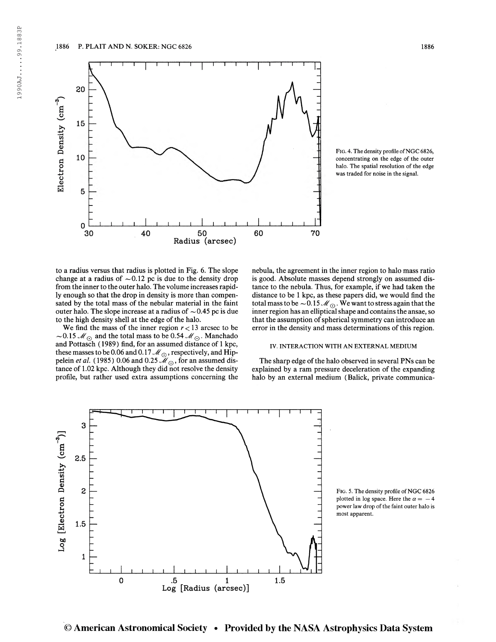

FIG. 4. The density profile of NGC 6826, concentrating on the edge of the outer halo. The spatial resolution of the edge was traded for noise in the signal.

to a radius versus that radius is plotted in Fig. 6. The slope change at a radius of  $\sim 0.12$  pc is due to the density drop from the inner to the outer halo. The volume increases rapidly enough so that the drop in density is more than compensated by the total mass of the nebular material in the faint outer halo. The slope increase at a radius of  $\sim$  0.45 pc is due to the high density shell at the edge of the halo.

We find the mass of the inner region  $r < 13$  arcsec to be ~0.15  $\mathcal{M}_{\odot}$  and the total mass to be 0.54  $\mathcal{M}_{\odot}$ . Manchado and Pottasch ( 1989) find, for an assumed distance of <sup>1</sup> kpc, these masses to be 0.06 and 0.17  $\mathcal{M}_{\odot}$ , respectively, and Hip-<br>pelein *et al.* (1985) 0.06 and 0.25  $\mathcal{M}_{\odot}$ , for an assumed distance of 1.02 kpc. Although they did not resolve the density profile, but rather used extra assumptions concerning the nebula, the agreement in the inner region to halo mass ratio is good. Absolute masses depend strongly on assumed distance to the nebula. Thus, for example, if we had taken the distance to be <sup>1</sup> kpc, as these papers did, we would find the total mass to be  $\sim 0.15 M_{\odot}$ . We want to stress again that the inner region has an elliptical shape and contains the ansae, so that the assumption of spherical symmetry can introduce an error in the density and mass determinations of this region.

#### IV. INTERACTION WITH AN EXTERNAL MEDIUM

The sharp edge of the halo observed in several PNs can be explained by a ram pressure deceleration of the expanding halo by an external medium (Balick, private communica-



FIG. 5. The density profile of NGC 6826 plotted in log space. Here the  $\alpha = -4$ power law drop of the faint outer halo is most apparent.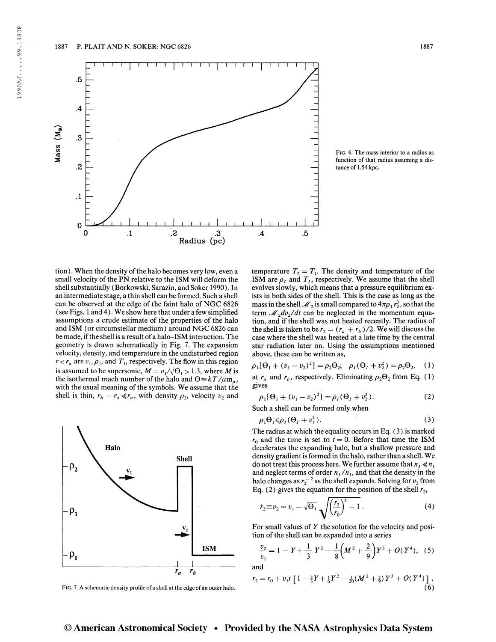

Fig. 6. The mass interior to a radius as function of that radius assuming a distance of 1.54 kpc.

tion). When the density of the halo becomes very low, even a small velocity of the PN relative to the ISM will deform the shell substantially (Borkowski, Sarazin, and Soker 1990). In an intermediate stage, a thin shell can be formed. Such a shell can be observed at the edge of the faint halo of NGC 6826 (see Figs. <sup>1</sup> and 4). We show here that under a few simplified assumptions a crude estimate of the properties of the halo and ISM (or circumstellar medium) around NGC 6826 can be made, if the shell is a result of a halo-ISM interaction. The geometry is drawn schematically in Fig. 7. The expansion velocity, density, and temperature in the undisturbed region  $r < r_a$  are  $v_1, \rho_1$ , and  $T_1$ , respectively. The flow in this region is assumed to be supersonic,  $M = v_1/\sqrt{\Theta_1} > 1.3$ , where M is the isothermal mach number of the halo and  $\Theta = kT/\mu m_p$ , with the usual meaning of the symbols. We assume that the shell is thin,  $r_b - r_a \ll r_a$ , with density  $\rho_2$ , velocity  $v_2$  and



FIG. 7. A schematic density profile of a shell at the edge of an outer halo.

temperature  $T_2 = T_1$ . The density and temperature of the ISM are  $\rho_I$  and  $T_I$ , respectively. We assume that the shell evolves slowly, which means that a pressure equilibrium exists in both sides of the shell. This is the case as long as the mass in the shell  $\mathcal{M}_2$  is small compared to  $4\pi\rho_1 r_2^3$ , so that the term  $\mathcal{M}_2dv_2/dt$  can be neglected in the momentum equation, and if the shell was not heated recently. The radius of the shell is taken to be  $r_2 = (r_a + r_b) / 2$ . We will discuss the case where the shell was heated at a late time by the central star radiation later on. Using the assumptions mentioned above, these can be written as,

$$
\rho_1[\Theta_1 + (v_1 - v_2)^2] = \rho_2 \Theta_2; \quad \rho_I(\Theta_I + v_2^2) = \rho_2 \Theta_2,
$$
 (1)  
at  $r_a$  and  $r_b$ , respectively. Eliminating  $\rho_2 \Theta_2$  from Eq. (1)  
gives

ives  
\n
$$
\rho_1[\Theta_1 + (v_1 - v_2)^2] = \rho_1(\Theta_1 + v_2^2).
$$
\n(2)

Such a shell can be formed only when

$$
\rho_1 \Theta_1 \leq \rho_I (\Theta_I + v_1^2). \tag{3}
$$

The radius at which the equality occurs in Eq. ( 3 ) is marked  $r_0$  and the time is set to  $t = 0$ . Before that time the ISM decelerates the expanding halo, but a shallow pressure and density gradient is formed in the halo, rather than a shell. We do not treat this process here. We further assume that  $n_1 \ll n_1$ and neglect terms of order  $n_I/n_i$ , and that the density in the halo changes as  $r_2^{-2}$  as the shell expands. Solving for  $v_2$  from Eq. (2) gives the equation for the position of the shell  $r_2$ ,

$$
\dot{r}_2 \equiv v_2 = v_1 - \sqrt{\Theta_1} \sqrt{\left(\frac{r_2}{r_0}\right)^2 - 1} \,. \tag{4}
$$

For small values of  $Y$  the solution for the velocity and posi-

tion of the shell can be expanded into a series  
\n
$$
\frac{v_2}{v_1} = 1 - Y + \frac{1}{3} Y^2 - \frac{1}{8} \left( M^2 + \frac{2}{9} \right) Y^3 + O(Y^4),
$$
 (5) and

$$
r_2 = r_0 + v_1 t \left[ 1 - \frac{2}{3} Y + \frac{1}{6} Y^2 - \frac{1}{20} (M^2 + \frac{2}{9}) Y^3 + O(Y^4) \right],
$$
\n(6)

1990AJ.....99.1883P

1990AJ....99.1883P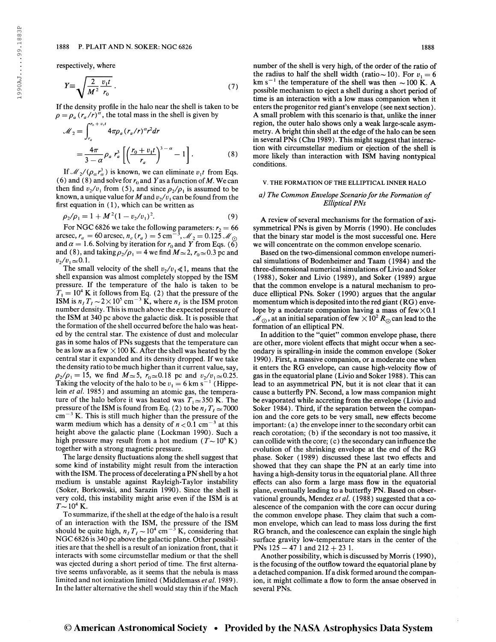## 1888 P. PLAIT AND N. SOKER: NGC 6826 1888

respectively, where

$$
Y \equiv \sqrt{\frac{2}{M^2} \frac{v_1 t}{r_0}} \,. \tag{7}
$$

If the density profile in the halo near the shell is taken to be If the density profile in the halo near the shell is taken  $\rho = \rho_a (r_a/r)^{\alpha}$ , the total mass in the shell is given by

$$
\mathcal{M}_2 = \int_{r_a}^{r_0 + v_{\rm i}l} 4\pi \rho_a (r_a/r)^{\alpha} r^2 dr
$$
  
= 
$$
\frac{4\pi}{3 - \alpha} \rho_a r_a^3 \left[ \left( \frac{r_0 + v_1 t}{r_a} \right)^{3 - \alpha} - 1 \right].
$$
 (8)

If  $\mathcal{M}_2/(\rho_\alpha r_\alpha^3)$  is known, we can eliminate  $v_1 t$  from Eqs. (6) and (8) and solve for  $r_0$  and Y as a function of M. We can then find  $v_2/v_1$  from (5), and since  $\rho_2/\rho_1$  is assumed to be known, a unique value for M and  $v_2/v_1$  can be found from the first equation in ( <sup>1</sup> ), which can be written as

$$
\rho_2/\rho_1 = 1 + M^2 (1 - v_2/v_1)^2. \tag{9}
$$

For NGC 6826 we take the following parameters:  $r_2 = 66$  arcsec,  $r_a = 60$  arcsec,  $n_e$  ( $r_a$ ) = 5 cm<sup>-3</sup>,  $\mathcal{M}_2 = 0.125$   $\mathcal{M}_{\odot}$ arcsec,  $r_a = 60$  arcsec,  $n_e(r_a) = 5$  cm<sup>-3</sup>,  $M_2 = 0.125$  M<sub>O</sub> and  $\alpha = 1.6$ . Solving by iteration for  $r_0$  and Y from Eqs. (6) and (8), and taking  $\rho_2/\rho_1 = 4$  we find  $M \approx 2$ ,  $r_0 \approx 0.3$  pc and  $v_2/v_1 \approx 0.1$ .

The small velocity of the shell  $v_2/v_1 \ll 1$ , means that the shell expansion was almost completely stopped by the ISM pressure. If the temperature of the halo is taken to be  $T_1 = 10^4$  K it follows from Eq. (2) that the pressure of the  $T_1 = 10^4$  K it follows from Eq. (2) that the pressure of the ISM is  $n_I T_I \sim 2 \times 10^5$  cm<sup>-3</sup> K, where  $n_I$  is the ISM proton number density. This is much above the expected pressure of the ISM at 340 pc above the galactic disk. It is possible that the formation of the shell occurred before the halo was heated by the central star. The existence of dust and molecular gas in some halos of PNs suggests that the temperature can be as low as a few  $\times$  100 K. After the shell was heated by the central star it expanded and its density dropped. If we take the density ratio to be much higher than it current value, say,  $\rho_2/\rho_1 = 15$ , we find  $M \approx 5$ ,  $r_0 \approx 0.18$  pc and  $v_2/v_1 \approx 0.25$ .  $p_2/p_1 = 1$ , we find  $M \approx 5$ ,  $r_0 \approx 0.18$  pc and  $v_2/v_1 \approx 0.25$ .<br>Taking the velocity of the halo to be  $v_1 = 6$  km s<sup>-1</sup> (Hippelein et al. 1985) and assuming an atomic gas, the temperature of the halo before it was heated was  $T_1 \approx 350$  K. The pressure of the ISM is found from Eq. (2) to be  $n_I T_I \approx 7000$ <br>cm<sup>-3</sup> K. This is still much higher than the pressure of the warm medium which has a density of  $n < 0.1$  cm<sup>-3</sup> at this height above the galactic plane (Lockman 1990). Such a high pressure may result from a hot medium ( $T \sim 10^6$  K) together with a strong magnetic pressure.

The large density fluctuations along the shell suggest that some kind of instability might result from the interaction with the ISM. The process of decelerating a PN shell by a hot medium is unstable against Rayleigh-Taylor instability (Soker, Borkowski, and Sarazin 1990). Since the shell is very cold, this instability might arise even if the ISM is at  $T\!\sim\!10^4$  K.

To summarize, if the shell at the edge of the halo is a result of an interaction with the ISM, the pressure of the ISM should be quite high,  $n_I T_I \sim 10^4$  cm<sup>-3</sup> K, considering that NGC 6826 is 340 pc above the galactic plane. Other possibilities are that the shell is a result of an ionization front, that it interacts with some circumstellar medium or that the shell was ejected during a short period of time. The first alternative seems unfavorable, as it seems that the nebula is mass limited and not ionization limited (Middlemass et al. 1989). In the latter alternative the shell would stay thin if the Mach

number of the shell is very high, of the order of the ratio of the radius to half the shell width (ratio ~ 10). For  $v_1 = 6$ <br>km s<sup>-1</sup> the temperature of the shell was then ~ 100 K. A km s<sup>-1</sup> the temperature of the shell was then  $\sim$  100 K. A possible mechanism to eject a shell during a short period of time is an interaction with a low mass companion when it enters the progenitor red giant's envelope (see next section). A small problem with this scenario is that, unlike the inner region, the outer halo shows only a weak large-scale asymmetry. A bright thin shell at the edge of the halo can be seen in several PNs (Chu 1989). This might suggest that interaction with circumstellar medium or ejection of the shell is more likely than interaction with ISM having nontypical conditions.

# V. THE FORMATION OF THE ELLIPTICAL INNER HALO

# a) The Common Envelope Scenario for the Formation of Elliptical PNs

A review of several mechanisms for the formation of axisymmetrical PNs is given by Morris ( 1990). He concludes that the binary star model is the most successful one. Here we will concentrate on the common envelope scenario.

Based on the two-dimensional common envelope numerical simulations of Bodenheimer and Taam (1984) and the three-dimensional numerical simulations of Livio and Soker (1988), Soker and Livio (1989), and Soker (1989) argue that the common envelope is a natural mechanism to produce elliptical PNs. Soker (1990) argues that the angular momentum which is deposited into the red giant (RG) envelope by a moderate companion having a mass of  $few \times 0.1$ , at an initial separation of few  $\times 10^2$   $R_{\odot}$  can lead to the formation of an elliptical PN.

In addition to the "quiet" common envelope phase, there are other, more violent effects that might occur when a secondary is spiralling-in inside the common envelope (Soker 1990). First, a massive companion, or a moderate one when it enters the RG envelope, can cause high-velocity flow of gas in the equatorial plane (Livio and Soker 1988). This can lead to an asymmetrical PN, but it is not clear that it can cause a butterfly PN. Second, a low mass companion might be evaporated while accreting from the envelope (Livio and Soker 1984). Third, if the separation between the companion and the core gets to be very small, new effects become important: (a) the envelope inner to the secondary orbit can reach corotation; (b) if the secondary is not too massive, it can collide with the core; (c) the secondary can influence the evolution of the shrinking envelope at the end of the RG phase. Soker (1989) discussed these last two effects and showed that they can shape the PN at an early time into having a high-density torus in the equatorial plane. All three effects can also form a large mass flow in the equatorial plane, eventually leading to a butterfly PN. Based on observational grounds, Mendez et al. (1988) suggested that a coalescence of the companion with the core can occur during the common envelope phase. They claim that such a common envelope, which can lead to mass loss during the first RG branch, and the coalescence can explain the single high surface gravity low-temperature stars in the center of the PNs  $125 - 47$  1 and  $212 + 23$  1.

Another possibility, which is discussed by Morris ( 1990), is the focusing of the outflow toward the equatorial plane by a detached companion. If a disk formed around the companion, it might collimate a flow to form the ansae observed in several PNs.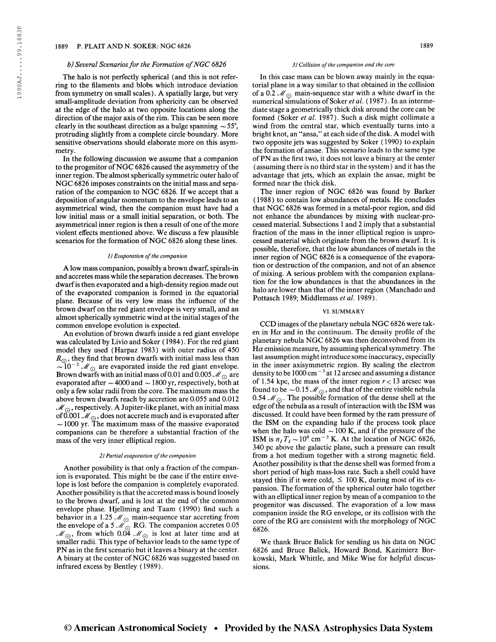# 1889 P. PLAIT AND N. SOKER: NGC 6826 1889

### b) Several Scenarios for the Formation of NGC  $6826$

The halo is not perfectly spherical (and this is not referring to the filaments and blobs which introduce deviation from symmetry on small scales). A spatially large, but very small-amplitude deviation from sphericity can be observed at the edge of the halo at two opposite locations along the direction of the major axis of the rim. This can be seen more clearly in the southeast direction as a bulge spanning  $\sim$  55°, protruding slightly from a complete circle boundary. More sensitive observations should elaborate more on this asymmetry.

In the following discussion we assume that a companion to the progenitor of NGC 6826 caused the asymmetry of the inner region. The almost spherically symmetric outer halo of NGC 6826 imposes constraints on the initial mass and separation of the companion to NGC 6826. If we accept that a deposition of angular momentum to the envelope leads to an asymmetrical wind, then the companion must have had a low initial mass or a small initial separation, or both. The asymmetrical inner region is then a result of one of the more violent effects mentioned above. We discuss a few plausible scenarios for the formation of NGC 6826 along these lines.

#### 1) Evaporation of the companion

A low mass companion, possibly a brown dwarf, spirals-in and accretes mass while the separation decreases. The brown dwarfis then evaporated and a high-density region made out of the evaporated companion is formed in the equatorial plane. Because of its very low mass the influence of the brown dwarf on the red giant envelope is very small, and an almost spherically symmetric wind at the initial stages of the common envelope evolution is expected.

An evolution of brown dwarfs inside a red giant envelope was calculated by Livio and Soker ( 1984). For the red giant model they used (Harpaz 1983) with outer radius of 450  $R_{\odot}$ , they find that brown dwarfs with initial mass less than  $\sim 10^{-2}$   $\mathcal{M}_{\odot}$  are evaporated inside the red giant envelope. Brown dwarfs with an initial mass of 0.01 and 0.005  $\mathcal{M}_{\odot}$  are evaporated after  $\sim$  4000 and  $\sim$  1800 yr, respectively, both at only a few solar radii from the core. The maximum mass the above brown dwarfs reach by accretion are 0.055 and 0.012  $\mathcal{M}_{\odot}$ , respectively. A Jupiter-like planet, with an initial mass of 0.001  $\mathcal{M}_{\odot}$ , does not accrete much and is evaporated after  $\sim$  1000 yr. The maximum mass of the massive evaporated companions can be therefore a substantial fraction of the mass of the very inner elliptical region.

## 2) Partial evaporation of the companion

Another possibility is that only a fraction of the companion is evaporated. This might be the case if the entire envelope is lost before the companion is completely evaporated. Another possibility is that the accreted mass is bound loosely to the brown dwarf, and is lost at the end of the common envelope phase. Hjellming and Taam (1990) find such a behavior in a 1.25  $\mathcal{M}_{\odot}$  main-sequence star accreting from the envelope of a 5  $\mathcal{M}_{\odot}$  RG. The companion accretes 0.05  $\mathscr{M}_{\odot}$ , from which 0.04  $\mathscr{M}_{\odot}$  is lost at later time and at smaller radii. This type of behavior leads to the same type of PN as in the first scenario but it leaves a binary at the center. A binary at the center of NGC 6826 was suggested based on infrared excess by Bentley (1989).

#### 3) Collision of the companion and the core

In this case mass can be blown away mainly in the equatorial plane in a way similar to that obtained in the collision of a 0.2  $\mathcal{M}_{\odot}$  main-sequence star with a white dwarf in the numerical simulations of Soker et al. (1987). In an intermediate stage a geometrically thick disk around the core can be formed (Soker et al. 1987). Such a disk might collimate a wind from the central star, which eventually turns into a bright knot, an "ansa," at each side of the disk. A model with two opposite jets was suggested by Soker ( 1990) to explain the formation of ansae. This scenario leads to the same type ofPN as the first two, it does not leave a binary at the center (assuming there is no third star in the system) and it has the advantage that jets, which an explain the ansae, might be formed near the thick disk.

The inner region of NGC 6826 was found by Barker ( 1988) to contain low abundances of metals. He concludes that NGC 6826 was formed in a metal-poor region, and did not enhance the abundances by mixing with nuclear-processed material. Subsections <sup>1</sup> and 2 imply that a substantial fraction of the mass in the inner elliptical region is unprocessed material which originate from the brown dwarf. It is possible, therefore, that the low abundances of metals in the inner region of NGC 6826 is a consequence of the evaporation or destruction of the companion, and not of an absence of mixing. A serious problem with the companion explanation for the low abundances is that the abundances in the halo are lower than that of the inner region (Manchado and Pottasch 1989; Middlemass et al. 1989).

## VI. SUMMARY

CCD images of the planetary nebula NGC 6826 were taken in  $H\alpha$  and in the continuum. The density profile of the planetary nebula NGC 6826 was then deconvolved from its  $H\alpha$  emission measure, by assuming spherical symmetry. The last assumption might introduce some inaccuracy, especially in the inner axisymmetric region. By scaling the electron<br>density to be 1000 cm<sup>-3</sup> at 12 arcsec and assuming a distance density to be  $1000 \text{ cm}^{-3}$  at 12 arcsec and assuming a distance of 1.54 kpc, the mass of the inner region  $r < 13$  arcsec was found to be  $\sim$  0.15  $\mathcal{M}_{\odot}$ , and that of the entire visible nebula 0.54  $\mathcal{M}_{\odot}$ . The possible formation of the dense shell at the edge of the nebula as a result of interaction with the ISM was discussed. It could have been formed by the ram pressure of the ISM on the expanding halo if the process took place when the halo was cold  $\sim$  100 K, and if the pressure of the ISM is  $n_I T_I \sim 10^4$  cm<sup>-3</sup> K. At the location of NGC 6826, 340 pc above the galactic plane, such a pressure can result from a hot medium together with a strong magnetic field. Another possibility is that the dense shell was formed from a short period of high mass-loss rate. Such a shell could have stayed thin if it were cold,  $\leq 100$  K, during most of its expansion. The formation of the spherical outer halo together with an elliptical inner region by mean of a companion to the progenitor was discussed. The evaporation of a low mass companion inside the RG envelope, or its collision with the core of the RG are consistent with the morphology of NGC 6826.

We thank Bruce Balick for sending us his data on NGC 6826 and Bruce Balick, Howard Bond, Kazimierz Borkowski, Mark Whittle, and Mike Wise for helpful discussions.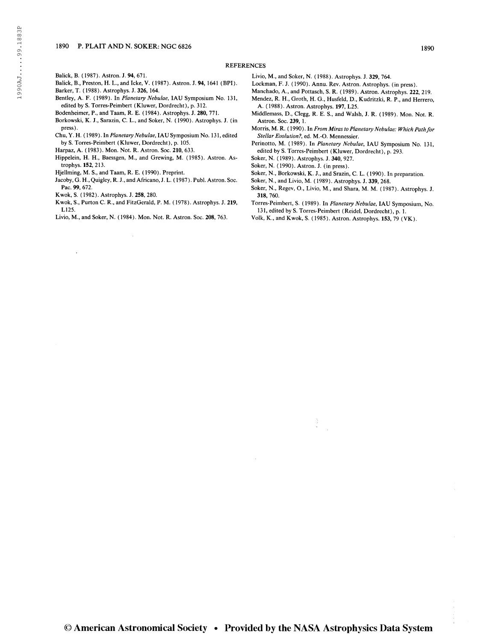## REFERENCES

- Balick, B., Preston, H. L., and Icke, V. ( 1987). Astron. J. 94, 1641 (BPI). Barker, T. ( 1988). Astrophys. J. 326, 164.
- Bentley, A. F. (1989). In Planetary Nebulae, IAU Symposium No. 131, edited by S. Torres-Peimbert (Kluwer, Dordrecht), p. 312.
- Bodenheimer, P., and Taam, R. E. (1984). Astrophys. J. 280, 771.
- Borkowski, K. J., Sarazin, C. L., and Soker, N. ( 1990). Astrophys. J. (in press).
- Chu, Y. H. ( 1989). In Planetary Nebulae, IAU Symposium No. 131, edited by S. Torres-Peimbert (Kluwer, Dordrecht), p. 105.
- Harpaz, A. ( 1983). Mon. Not. R. Astron. Soc. 210, 633.
- Hippelein, H. H., Baessgen, M., and Grewing, M. (1985). Astron. Astrophys. 152, 213.
- Hjellming, M. S., and Taam, R. E. ( 1990). Preprint.
- Jacoby, G. H., Quigley, R. J., and Africano, J. L. (1987). Publ. Astron. Soc. Pac. 99, 672.
- Kwok, S. (1982). Astrophys. J. 258, 280.

 $\ddot{\phantom{0}}$ 

- Kwok, S., Purton C. R., and FitzGerald, P. M. (1978). Astrophys. J. 219, L125.
- Livio, M., and Soker, N. ( 1984). Mon. Not. R. Astron. Soc. 208, 763.

 $\bar{\bar{z}}$ 

- Livio, M., and Soker, N. ( 1988). Astrophys. J. 329, 764.
- Lockman, F. J. (1990). Annu. Rev. Astron. Astrophys. (in press).
- Manchado, A., and Pottasch, S. R. ( 1989). Astron. Astrophys. 222, 219.
- Mendez, R. H., Groth, H. G., Husfeld, D., Kudritzki, R. P., and Herrero, A. (1988). Astron. Astrophys. 197, L25.
- Middlemass, D., Clegg, R. E. S., and Walsh, J. R. (1989). Mon. Not. R. Astron. Soc. 239, 1.
- Morris, M. R. (1990). In From Miras to Planetary Nebulae: Which Path for Stellar Evolution?, ed. M.-O. Mennessier.
- Perinotto, M. (1989). In Planetary Nebulae, IAU Symposium No. 131, edited by S. Torres-Peimbert (Kluwer, Dordrecht), p. 293.
- Soker, N. (1989). Astrophys. J. 340, 927.
- Soker, N. (1990). Astron. J. (in press).
- Soker, N., Borkowski, K. J., and Srazin, C. L. ( 1990). In preparation.
- Soker, N., and Livio, M. ( 1989). Astrophys. J. 339, 268.
- Soker, N., Regev, O., Livio, M., and Shara, M. M. (1987). Astrophys. J. 318, 760.
- Torres-Peimbert, S. (1989). In Planetary Nebulae, IAU Symposium, No. 131, edited by S. Torres-Peimbert (Reidel, Dordrecht), p. 1.
- Volk, K., and Kwok, S. (1985). Astron. Astrophys. 153, 79 (VK).

Balick, B. (1987). Astron. J. 94, 671.